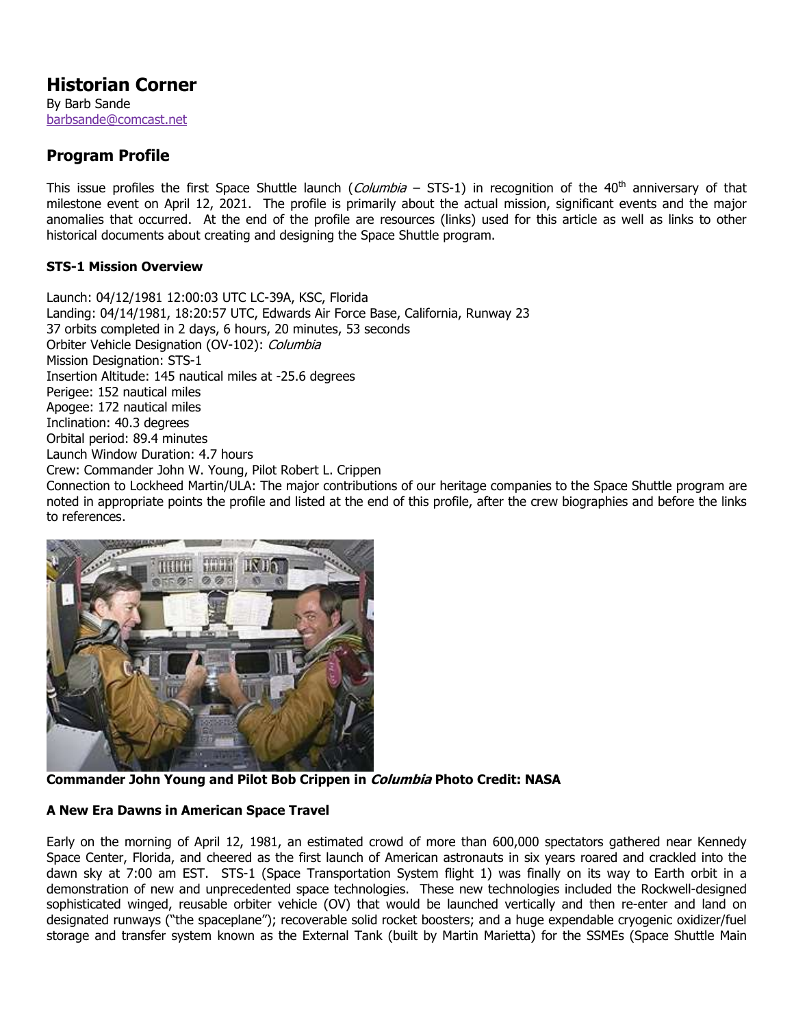# **Historian Corner**

By Barb Sande [barbsande@comcast.net](mailto:barbsande@comcast.net)

## **Program Profile**

This issue profiles the first Space Shuttle launch (Columbia - STS-1) in recognition of the 40<sup>th</sup> anniversary of that milestone event on April 12, 2021. The profile is primarily about the actual mission, significant events and the major anomalies that occurred. At the end of the profile are resources (links) used for this article as well as links to other historical documents about creating and designing the Space Shuttle program.

### **STS-1 Mission Overview**

Launch: 04/12/1981 12:00:03 UTC LC-39A, KSC, Florida Landing: 04/14/1981, 18:20:57 UTC, Edwards Air Force Base, California, Runway 23 37 orbits completed in 2 days, 6 hours, 20 minutes, 53 seconds Orbiter Vehicle Designation (OV-102): Columbia Mission Designation: STS-1 Insertion Altitude: 145 nautical miles at -25.6 degrees Perigee: 152 nautical miles Apogee: 172 nautical miles Inclination: 40.3 degrees Orbital period: 89.4 minutes Launch Window Duration: 4.7 hours Crew: Commander John W. Young, Pilot Robert L. Crippen Connection to Lockheed Martin/ULA: The major contributions of our heritage companies to the Space Shuttle program are noted in appropriate points the profile and listed at the end of this profile, after the crew biographies and before the links to references.



**Commander John Young and Pilot Bob Crippen in Columbia Photo Credit: NASA**

## **A New Era Dawns in American Space Travel**

Early on the morning of April 12, 1981, an estimated crowd of more than 600,000 spectators gathered near Kennedy Space Center, Florida, and cheered as the first launch of American astronauts in six years roared and crackled into the dawn sky at 7:00 am EST. STS-1 (Space Transportation System flight 1) was finally on its way to Earth orbit in a demonstration of new and unprecedented space technologies. These new technologies included the Rockwell-designed sophisticated winged, reusable orbiter vehicle (OV) that would be launched vertically and then re-enter and land on designated runways ("the spaceplane"); recoverable solid rocket boosters; and a huge expendable cryogenic oxidizer/fuel storage and transfer system known as the External Tank (built by Martin Marietta) for the SSMEs (Space Shuttle Main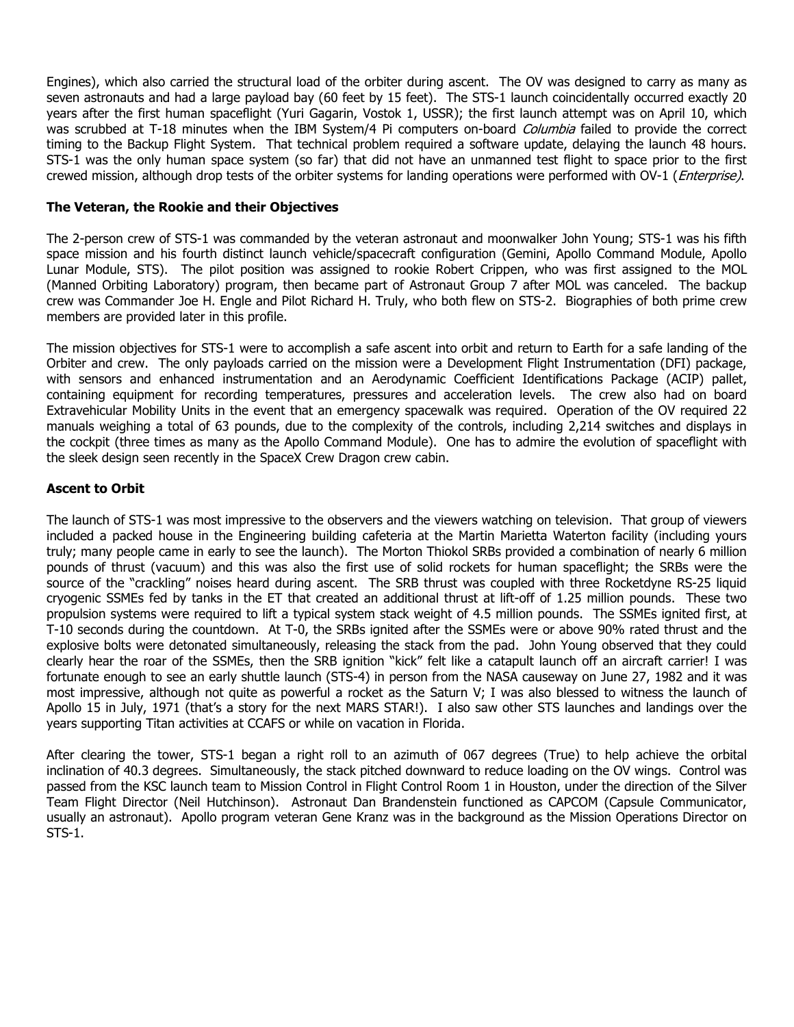Engines), which also carried the structural load of the orbiter during ascent. The OV was designed to carry as many as seven astronauts and had a large payload bay (60 feet by 15 feet). The STS-1 launch coincidentally occurred exactly 20 years after the first human spaceflight (Yuri Gagarin, Vostok 1, USSR); the first launch attempt was on April 10, which was scrubbed at T-18 minutes when the IBM System/4 Pi computers on-board Columbia failed to provide the correct timing to the Backup Flight System. That technical problem required a software update, delaying the launch 48 hours. STS-1 was the only human space system (so far) that did not have an unmanned test flight to space prior to the first crewed mission, although drop tests of the orbiter systems for landing operations were performed with OV-1 (*Enterprise*).

#### **The Veteran, the Rookie and their Objectives**

The 2-person crew of STS-1 was commanded by the veteran astronaut and moonwalker John Young; STS-1 was his fifth space mission and his fourth distinct launch vehicle/spacecraft configuration (Gemini, Apollo Command Module, Apollo Lunar Module, STS). The pilot position was assigned to rookie Robert Crippen, who was first assigned to the MOL (Manned Orbiting Laboratory) program, then became part of Astronaut Group 7 after MOL was canceled. The backup crew was Commander Joe H. Engle and Pilot Richard H. Truly, who both flew on STS-2. Biographies of both prime crew members are provided later in this profile.

The mission objectives for STS-1 were to accomplish a safe ascent into orbit and return to Earth for a safe landing of the Orbiter and crew. The only payloads carried on the mission were a Development Flight Instrumentation (DFI) package, with sensors and enhanced instrumentation and an Aerodynamic Coefficient Identifications Package (ACIP) pallet, containing equipment for recording temperatures, pressures and acceleration levels. The crew also had on board Extravehicular Mobility Units in the event that an emergency spacewalk was required. Operation of the OV required 22 manuals weighing a total of 63 pounds, due to the complexity of the controls, including 2,214 switches and displays in the cockpit (three times as many as the Apollo Command Module). One has to admire the evolution of spaceflight with the sleek design seen recently in the SpaceX Crew Dragon crew cabin.

#### **Ascent to Orbit**

The launch of STS-1 was most impressive to the observers and the viewers watching on television. That group of viewers included a packed house in the Engineering building cafeteria at the Martin Marietta Waterton facility (including yours truly; many people came in early to see the launch). The Morton Thiokol SRBs provided a combination of nearly 6 million pounds of thrust (vacuum) and this was also the first use of solid rockets for human spaceflight; the SRBs were the source of the "crackling" noises heard during ascent. The SRB thrust was coupled with three Rocketdyne RS-25 liquid cryogenic SSMEs fed by tanks in the ET that created an additional thrust at lift-off of 1.25 million pounds. These two propulsion systems were required to lift a typical system stack weight of 4.5 million pounds. The SSMEs ignited first, at T-10 seconds during the countdown. At T-0, the SRBs ignited after the SSMEs were or above 90% rated thrust and the explosive bolts were detonated simultaneously, releasing the stack from the pad. John Young observed that they could clearly hear the roar of the SSMEs, then the SRB ignition "kick" felt like a catapult launch off an aircraft carrier! I was fortunate enough to see an early shuttle launch (STS-4) in person from the NASA causeway on June 27, 1982 and it was most impressive, although not quite as powerful a rocket as the Saturn V; I was also blessed to witness the launch of Apollo 15 in July, 1971 (that's a story for the next MARS STAR!). I also saw other STS launches and landings over the years supporting Titan activities at CCAFS or while on vacation in Florida.

After clearing the tower, STS-1 began a right roll to an azimuth of 067 degrees (True) to help achieve the orbital inclination of 40.3 degrees. Simultaneously, the stack pitched downward to reduce loading on the OV wings. Control was passed from the KSC launch team to Mission Control in Flight Control Room 1 in Houston, under the direction of the Silver Team Flight Director (Neil Hutchinson). Astronaut Dan Brandenstein functioned as CAPCOM (Capsule Communicator, usually an astronaut). Apollo program veteran Gene Kranz was in the background as the Mission Operations Director on STS-1.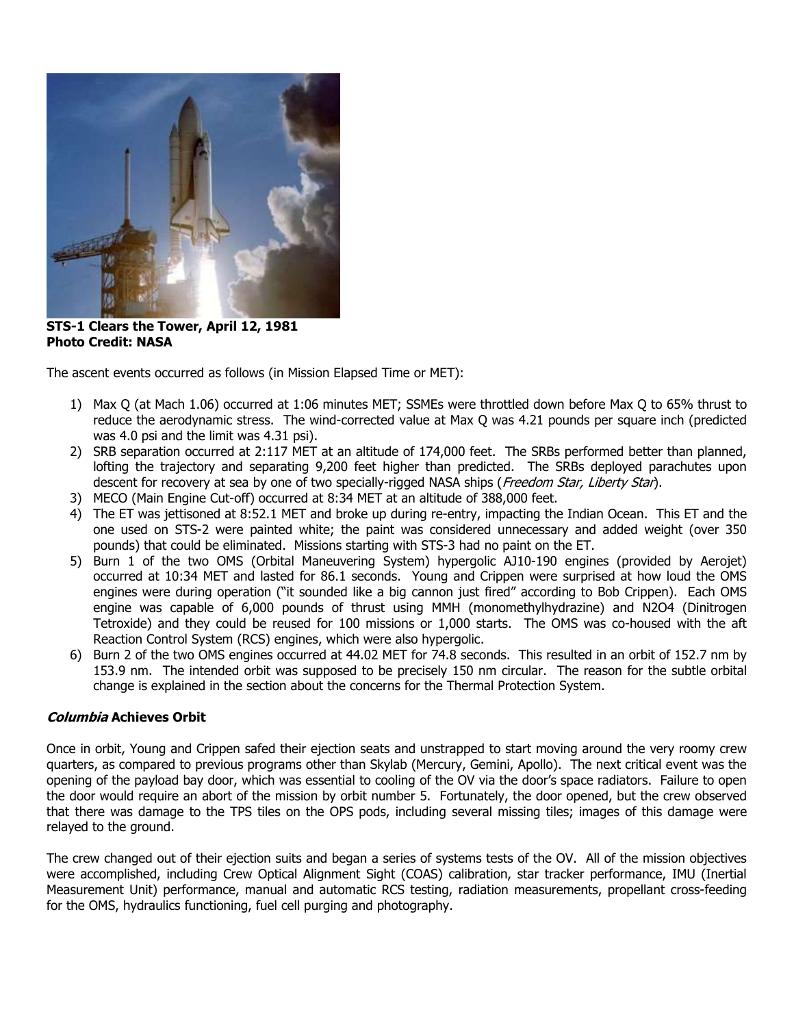

**STS-1 Clears the Tower, April 12, 1981 Photo Credit: NASA**

The ascent events occurred as follows (in Mission Elapsed Time or MET):

- 1) Max Q (at Mach 1.06) occurred at 1:06 minutes MET; SSMEs were throttled down before Max Q to 65% thrust to reduce the aerodynamic stress. The wind-corrected value at Max Q was 4.21 pounds per square inch (predicted was 4.0 psi and the limit was 4.31 psi).
- 2) SRB separation occurred at 2:117 MET at an altitude of 174,000 feet. The SRBs performed better than planned, lofting the trajectory and separating 9,200 feet higher than predicted. The SRBs deployed parachutes upon descent for recovery at sea by one of two specially-rigged NASA ships (Freedom Star, Liberty Star).
- 3) MECO (Main Engine Cut-off) occurred at 8:34 MET at an altitude of 388,000 feet.
- 4) The ET was jettisoned at 8:52.1 MET and broke up during re-entry, impacting the Indian Ocean. This ET and the one used on STS-2 were painted white; the paint was considered unnecessary and added weight (over 350 pounds) that could be eliminated. Missions starting with STS-3 had no paint on the ET.
- 5) Burn 1 of the two OMS (Orbital Maneuvering System) hypergolic AJ10-190 engines (provided by Aerojet) occurred at 10:34 MET and lasted for 86.1 seconds. Young and Crippen were surprised at how loud the OMS engines were during operation ("it sounded like a big cannon just fired" according to Bob Crippen). Each OMS engine was capable of 6,000 pounds of thrust using MMH (monomethylhydrazine) and N2O4 (Dinitrogen Tetroxide) and they could be reused for 100 missions or 1,000 starts. The OMS was co-housed with the aft Reaction Control System (RCS) engines, which were also hypergolic.
- 6) Burn 2 of the two OMS engines occurred at 44.02 MET for 74.8 seconds. This resulted in an orbit of 152.7 nm by 153.9 nm. The intended orbit was supposed to be precisely 150 nm circular. The reason for the subtle orbital change is explained in the section about the concerns for the Thermal Protection System.

#### **Columbia Achieves Orbit**

Once in orbit, Young and Crippen safed their ejection seats and unstrapped to start moving around the very roomy crew quarters, as compared to previous programs other than Skylab (Mercury, Gemini, Apollo). The next critical event was the opening of the payload bay door, which was essential to cooling of the OV via the door's space radiators. Failure to open the door would require an abort of the mission by orbit number 5. Fortunately, the door opened, but the crew observed that there was damage to the TPS tiles on the OPS pods, including several missing tiles; images of this damage were relayed to the ground.

The crew changed out of their ejection suits and began a series of systems tests of the OV. All of the mission objectives were accomplished, including Crew Optical Alignment Sight (COAS) calibration, star tracker performance, IMU (Inertial Measurement Unit) performance, manual and automatic RCS testing, radiation measurements, propellant cross-feeding for the OMS, hydraulics functioning, fuel cell purging and photography.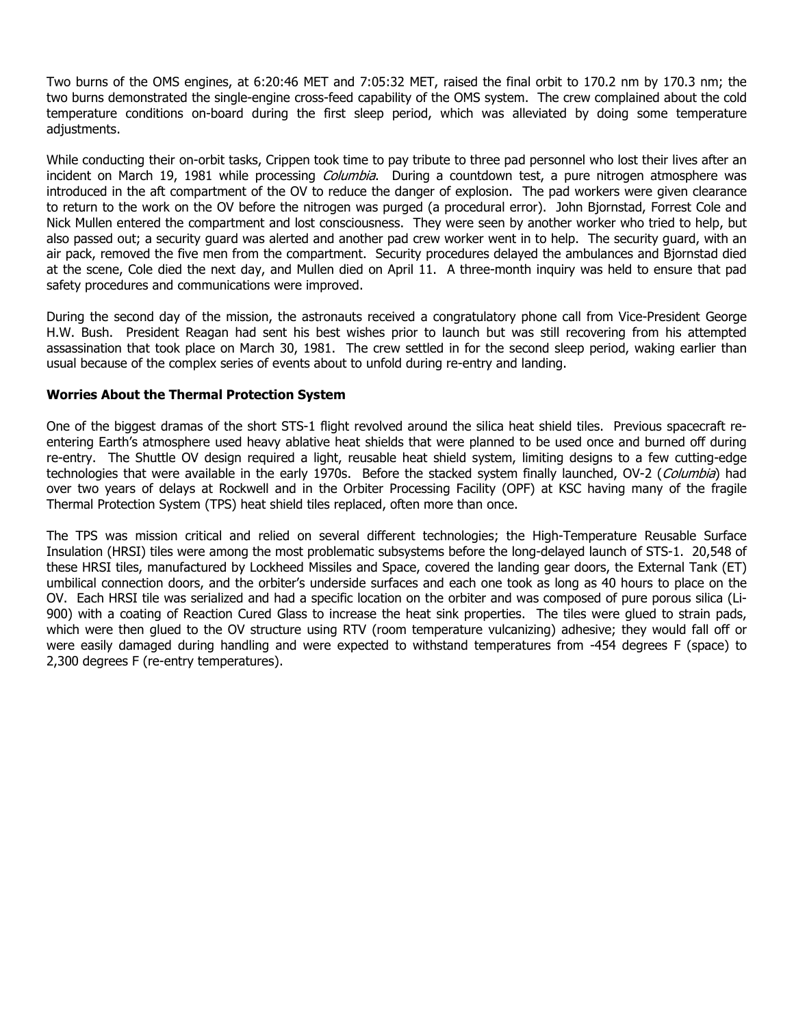Two burns of the OMS engines, at 6:20:46 MET and 7:05:32 MET, raised the final orbit to 170.2 nm by 170.3 nm; the two burns demonstrated the single-engine cross-feed capability of the OMS system. The crew complained about the cold temperature conditions on-board during the first sleep period, which was alleviated by doing some temperature adjustments.

While conducting their on-orbit tasks, Crippen took time to pay tribute to three pad personnel who lost their lives after an incident on March 19, 1981 while processing *Columbia*. During a countdown test, a pure nitrogen atmosphere was introduced in the aft compartment of the OV to reduce the danger of explosion. The pad workers were given clearance to return to the work on the OV before the nitrogen was purged (a procedural error). John Bjornstad, Forrest Cole and Nick Mullen entered the compartment and lost consciousness. They were seen by another worker who tried to help, but also passed out; a security guard was alerted and another pad crew worker went in to help. The security guard, with an air pack, removed the five men from the compartment. Security procedures delayed the ambulances and Bjornstad died at the scene, Cole died the next day, and Mullen died on April 11. A three-month inquiry was held to ensure that pad safety procedures and communications were improved.

During the second day of the mission, the astronauts received a congratulatory phone call from Vice-President George H.W. Bush. President Reagan had sent his best wishes prior to launch but was still recovering from his attempted assassination that took place on March 30, 1981. The crew settled in for the second sleep period, waking earlier than usual because of the complex series of events about to unfold during re-entry and landing.

#### **Worries About the Thermal Protection System**

One of the biggest dramas of the short STS-1 flight revolved around the silica heat shield tiles. Previous spacecraft reentering Earth's atmosphere used heavy ablative heat shields that were planned to be used once and burned off during re-entry. The Shuttle OV design required a light, reusable heat shield system, limiting designs to a few cutting-edge technologies that were available in the early 1970s. Before the stacked system finally launched, OV-2 (Columbia) had over two years of delays at Rockwell and in the Orbiter Processing Facility (OPF) at KSC having many of the fragile Thermal Protection System (TPS) heat shield tiles replaced, often more than once.

The TPS was mission critical and relied on several different technologies; the High-Temperature Reusable Surface Insulation (HRSI) tiles were among the most problematic subsystems before the long-delayed launch of STS-1. 20,548 of these HRSI tiles, manufactured by Lockheed Missiles and Space, covered the landing gear doors, the External Tank (ET) umbilical connection doors, and the orbiter's underside surfaces and each one took as long as 40 hours to place on the OV. Each HRSI tile was serialized and had a specific location on the orbiter and was composed of pure porous silica (Li-900) with a coating of Reaction Cured Glass to increase the heat sink properties. The tiles were glued to strain pads, which were then glued to the OV structure using RTV (room temperature vulcanizing) adhesive; they would fall off or were easily damaged during handling and were expected to withstand temperatures from -454 degrees F (space) to 2,300 degrees F (re-entry temperatures).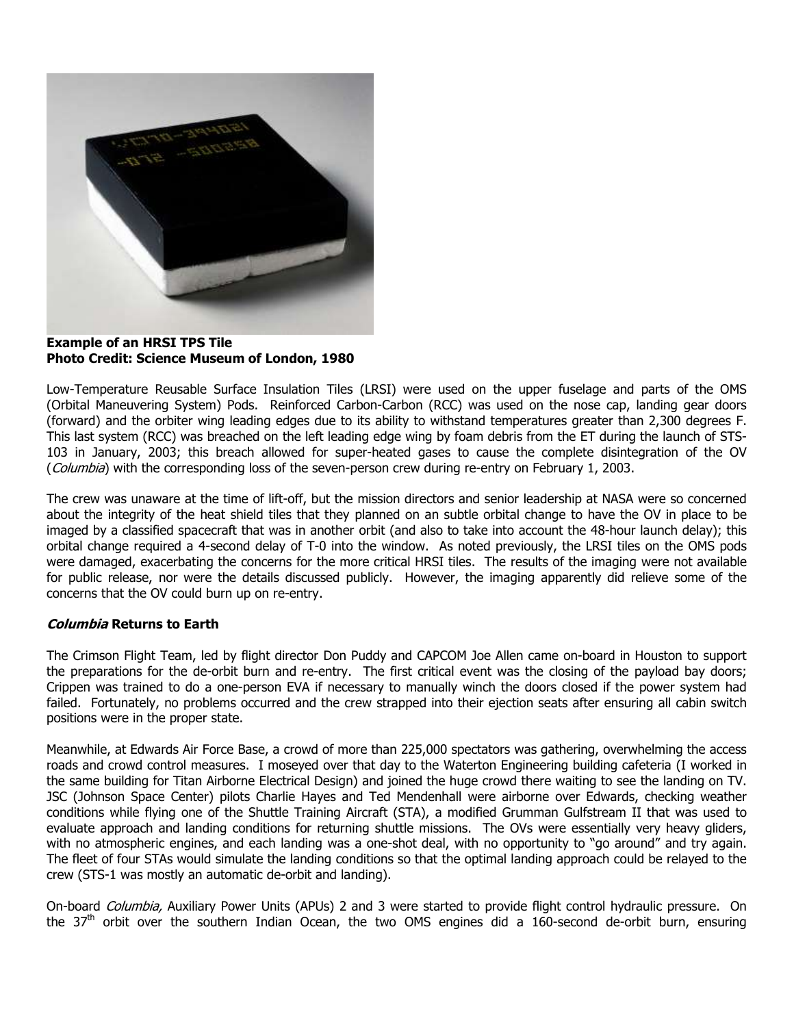

**Example of an HRSI TPS Tile Photo Credit: Science Museum of London, 1980**

Low-Temperature Reusable Surface Insulation Tiles (LRSI) were used on the upper fuselage and parts of the OMS (Orbital Maneuvering System) Pods. Reinforced Carbon-Carbon (RCC) was used on the nose cap, landing gear doors (forward) and the orbiter wing leading edges due to its ability to withstand temperatures greater than 2,300 degrees F. This last system (RCC) was breached on the left leading edge wing by foam debris from the ET during the launch of STS-103 in January, 2003; this breach allowed for super-heated gases to cause the complete disintegration of the OV (Columbia) with the corresponding loss of the seven-person crew during re-entry on February 1, 2003.

The crew was unaware at the time of lift-off, but the mission directors and senior leadership at NASA were so concerned about the integrity of the heat shield tiles that they planned on an subtle orbital change to have the OV in place to be imaged by a classified spacecraft that was in another orbit (and also to take into account the 48-hour launch delay); this orbital change required a 4-second delay of T-0 into the window. As noted previously, the LRSI tiles on the OMS pods were damaged, exacerbating the concerns for the more critical HRSI tiles. The results of the imaging were not available for public release, nor were the details discussed publicly. However, the imaging apparently did relieve some of the concerns that the OV could burn up on re-entry.

#### **Columbia Returns to Earth**

The Crimson Flight Team, led by flight director Don Puddy and CAPCOM Joe Allen came on-board in Houston to support the preparations for the de-orbit burn and re-entry. The first critical event was the closing of the payload bay doors; Crippen was trained to do a one-person EVA if necessary to manually winch the doors closed if the power system had failed. Fortunately, no problems occurred and the crew strapped into their ejection seats after ensuring all cabin switch positions were in the proper state.

Meanwhile, at Edwards Air Force Base, a crowd of more than 225,000 spectators was gathering, overwhelming the access roads and crowd control measures. I moseyed over that day to the Waterton Engineering building cafeteria (I worked in the same building for Titan Airborne Electrical Design) and joined the huge crowd there waiting to see the landing on TV. JSC (Johnson Space Center) pilots Charlie Hayes and Ted Mendenhall were airborne over Edwards, checking weather conditions while flying one of the Shuttle Training Aircraft (STA), a modified Grumman Gulfstream II that was used to evaluate approach and landing conditions for returning shuttle missions. The OVs were essentially very heavy gliders, with no atmospheric engines, and each landing was a one-shot deal, with no opportunity to "go around" and try again. The fleet of four STAs would simulate the landing conditions so that the optimal landing approach could be relayed to the crew (STS-1 was mostly an automatic de-orbit and landing).

On-board Columbia, Auxiliary Power Units (APUs) 2 and 3 were started to provide flight control hydraulic pressure. On the 37<sup>th</sup> orbit over the southern Indian Ocean, the two OMS engines did a 160-second de-orbit burn, ensuring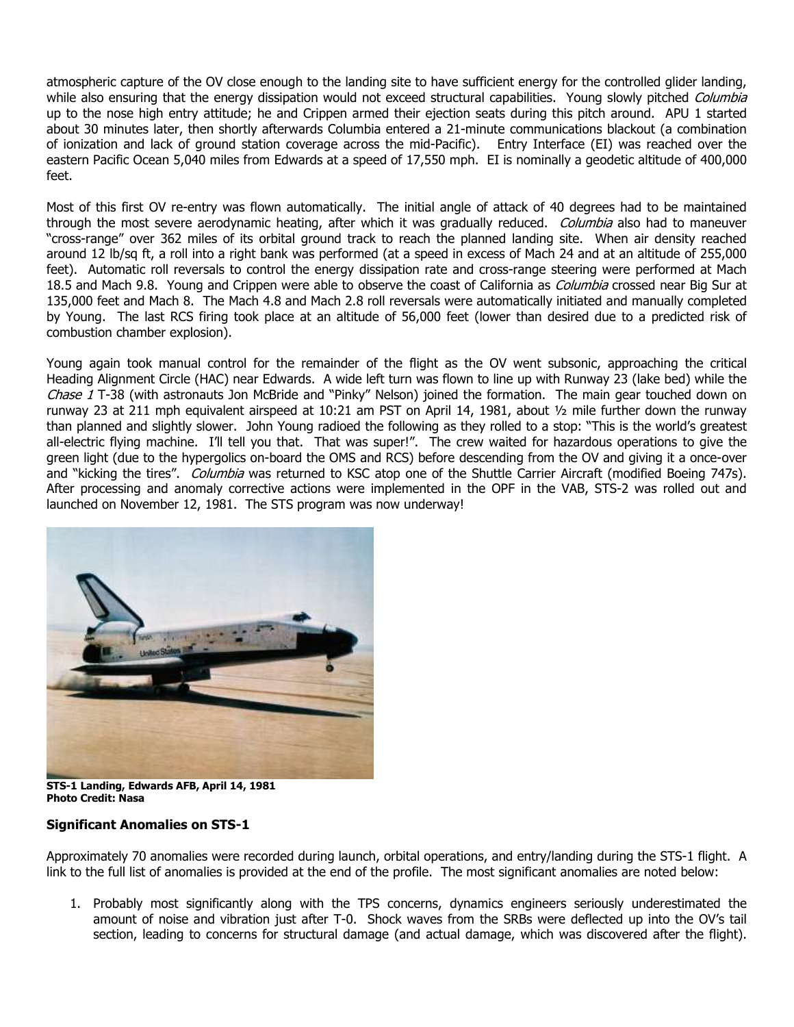atmospheric capture of the OV close enough to the landing site to have sufficient energy for the controlled glider landing, while also ensuring that the energy dissipation would not exceed structural capabilities. Young slowly pitched Columbia up to the nose high entry attitude; he and Crippen armed their ejection seats during this pitch around. APU 1 started about 30 minutes later, then shortly afterwards Columbia entered a 21-minute communications blackout (a combination of ionization and lack of ground station coverage across the mid-Pacific). Entry Interface (EI) was reached over the eastern Pacific Ocean 5,040 miles from Edwards at a speed of 17,550 mph. EI is nominally a geodetic altitude of 400,000 feet.

Most of this first OV re-entry was flown automatically. The initial angle of attack of 40 degrees had to be maintained through the most severe aerodynamic heating, after which it was gradually reduced. *Columbia* also had to maneuver "cross-range" over 362 miles of its orbital ground track to reach the planned landing site. When air density reached around 12 lb/sq ft, a roll into a right bank was performed (at a speed in excess of Mach 24 and at an altitude of 255,000 feet). Automatic roll reversals to control the energy dissipation rate and cross-range steering were performed at Mach 18.5 and Mach 9.8. Young and Crippen were able to observe the coast of California as Columbia crossed near Big Sur at 135,000 feet and Mach 8. The Mach 4.8 and Mach 2.8 roll reversals were automatically initiated and manually completed by Young. The last RCS firing took place at an altitude of 56,000 feet (lower than desired due to a predicted risk of combustion chamber explosion).

Young again took manual control for the remainder of the flight as the OV went subsonic, approaching the critical Heading Alignment Circle (HAC) near Edwards. A wide left turn was flown to line up with Runway 23 (lake bed) while the Chase 1 T-38 (with astronauts Jon McBride and "Pinky" Nelson) joined the formation. The main gear touched down on runway 23 at 211 mph equivalent airspeed at 10:21 am PST on April 14, 1981, about ½ mile further down the runway than planned and slightly slower. John Young radioed the following as they rolled to a stop: "This is the world's greatest all-electric flying machine. I'll tell you that. That was super!". The crew waited for hazardous operations to give the green light (due to the hypergolics on-board the OMS and RCS) before descending from the OV and giving it a once-over and "kicking the tires". Columbia was returned to KSC atop one of the Shuttle Carrier Aircraft (modified Boeing 747s). After processing and anomaly corrective actions were implemented in the OPF in the VAB, STS-2 was rolled out and launched on November 12, 1981. The STS program was now underway!



**STS-1 Landing, Edwards AFB, April 14, 1981 Photo Credit: Nasa**

#### **Significant Anomalies on STS-1**

Approximately 70 anomalies were recorded during launch, orbital operations, and entry/landing during the STS-1 flight. A link to the full list of anomalies is provided at the end of the profile. The most significant anomalies are noted below:

1. Probably most significantly along with the TPS concerns, dynamics engineers seriously underestimated the amount of noise and vibration just after T-0. Shock waves from the SRBs were deflected up into the OV's tail section, leading to concerns for structural damage (and actual damage, which was discovered after the flight).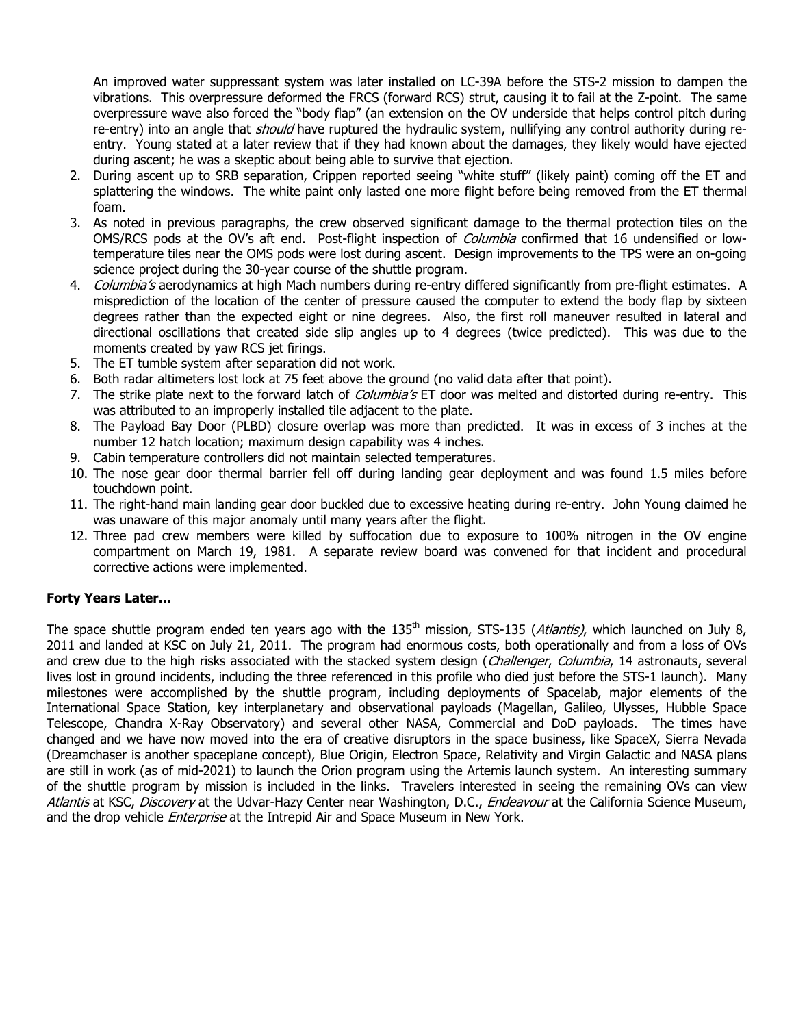An improved water suppressant system was later installed on LC-39A before the STS-2 mission to dampen the vibrations. This overpressure deformed the FRCS (forward RCS) strut, causing it to fail at the Z-point. The same overpressure wave also forced the "body flap" (an extension on the OV underside that helps control pitch during re-entry) into an angle that should have ruptured the hydraulic system, nullifying any control authority during reentry. Young stated at a later review that if they had known about the damages, they likely would have ejected during ascent; he was a skeptic about being able to survive that ejection.

- 2. During ascent up to SRB separation, Crippen reported seeing "white stuff" (likely paint) coming off the ET and splattering the windows. The white paint only lasted one more flight before being removed from the ET thermal foam.
- 3. As noted in previous paragraphs, the crew observed significant damage to the thermal protection tiles on the OMS/RCS pods at the OV's aft end. Post-flight inspection of *Columbia* confirmed that 16 undensified or lowtemperature tiles near the OMS pods were lost during ascent. Design improvements to the TPS were an on-going science project during the 30-year course of the shuttle program.
- 4. Columbia's aerodynamics at high Mach numbers during re-entry differed significantly from pre-flight estimates. A misprediction of the location of the center of pressure caused the computer to extend the body flap by sixteen degrees rather than the expected eight or nine degrees. Also, the first roll maneuver resulted in lateral and directional oscillations that created side slip angles up to 4 degrees (twice predicted). This was due to the moments created by yaw RCS jet firings.
- 5. The ET tumble system after separation did not work.
- 6. Both radar altimeters lost lock at 75 feet above the ground (no valid data after that point).
- 7. The strike plate next to the forward latch of *Columbia's* ET door was melted and distorted during re-entry. This was attributed to an improperly installed tile adjacent to the plate.
- 8. The Payload Bay Door (PLBD) closure overlap was more than predicted. It was in excess of 3 inches at the number 12 hatch location; maximum design capability was 4 inches.
- 9. Cabin temperature controllers did not maintain selected temperatures.
- 10. The nose gear door thermal barrier fell off during landing gear deployment and was found 1.5 miles before touchdown point.
- 11. The right-hand main landing gear door buckled due to excessive heating during re-entry. John Young claimed he was unaware of this major anomaly until many years after the flight.
- 12. Three pad crew members were killed by suffocation due to exposure to 100% nitrogen in the OV engine compartment on March 19, 1981. A separate review board was convened for that incident and procedural corrective actions were implemented.

### **Forty Years Later…**

The space shuttle program ended ten years ago with the 135<sup>th</sup> mission, STS-135 (Atlantis), which launched on July 8, 2011 and landed at KSC on July 21, 2011. The program had enormous costs, both operationally and from a loss of OVs and crew due to the high risks associated with the stacked system design (Challenger, Columbia, 14 astronauts, several lives lost in ground incidents, including the three referenced in this profile who died just before the STS-1 launch). Many milestones were accomplished by the shuttle program, including deployments of Spacelab, major elements of the International Space Station, key interplanetary and observational payloads (Magellan, Galileo, Ulysses, Hubble Space Telescope, Chandra X-Ray Observatory) and several other NASA, Commercial and DoD payloads. The times have changed and we have now moved into the era of creative disruptors in the space business, like SpaceX, Sierra Nevada (Dreamchaser is another spaceplane concept), Blue Origin, Electron Space, Relativity and Virgin Galactic and NASA plans are still in work (as of mid-2021) to launch the Orion program using the Artemis launch system. An interesting summary of the shuttle program by mission is included in the links. Travelers interested in seeing the remaining OVs can view Atlantis at KSC, Discovery at the Udvar-Hazy Center near Washington, D.C., Endeavour at the California Science Museum, and the drop vehicle *Enterprise* at the Intrepid Air and Space Museum in New York.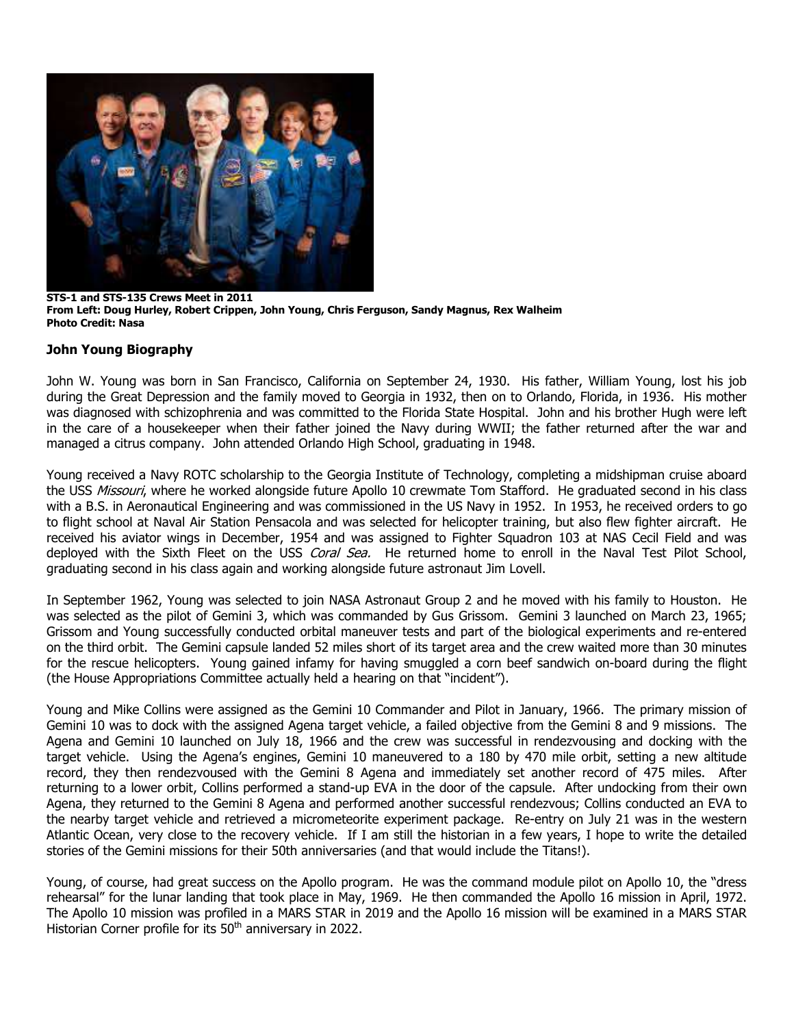

**STS-1 and STS-135 Crews Meet in 2011 From Left: Doug Hurley, Robert Crippen, John Young, Chris Ferguson, Sandy Magnus, Rex Walheim Photo Credit: Nasa**

#### **John Young Biography**

John W. Young was born in San Francisco, California on September 24, 1930. His father, William Young, lost his job during the Great Depression and the family moved to Georgia in 1932, then on to Orlando, Florida, in 1936. His mother was diagnosed with schizophrenia and was committed to the Florida State Hospital. John and his brother Hugh were left in the care of a housekeeper when their father joined the Navy during WWII; the father returned after the war and managed a citrus company. John attended Orlando High School, graduating in 1948.

Young received a Navy ROTC scholarship to the Georgia Institute of Technology, completing a midshipman cruise aboard the USS Missouri, where he worked alongside future Apollo 10 crewmate Tom Stafford. He graduated second in his class with a B.S. in Aeronautical Engineering and was commissioned in the US Navy in 1952. In 1953, he received orders to go to flight school at Naval Air Station Pensacola and was selected for helicopter training, but also flew fighter aircraft. He received his aviator wings in December, 1954 and was assigned to Fighter Squadron 103 at NAS Cecil Field and was deployed with the Sixth Fleet on the USS Coral Sea. He returned home to enroll in the Naval Test Pilot School, graduating second in his class again and working alongside future astronaut Jim Lovell.

In September 1962, Young was selected to join NASA Astronaut Group 2 and he moved with his family to Houston. He was selected as the pilot of Gemini 3, which was commanded by Gus Grissom. Gemini 3 launched on March 23, 1965; Grissom and Young successfully conducted orbital maneuver tests and part of the biological experiments and re-entered on the third orbit. The Gemini capsule landed 52 miles short of its target area and the crew waited more than 30 minutes for the rescue helicopters. Young gained infamy for having smuggled a corn beef sandwich on-board during the flight (the House Appropriations Committee actually held a hearing on that "incident").

Young and Mike Collins were assigned as the Gemini 10 Commander and Pilot in January, 1966. The primary mission of Gemini 10 was to dock with the assigned Agena target vehicle, a failed objective from the Gemini 8 and 9 missions. The Agena and Gemini 10 launched on July 18, 1966 and the crew was successful in rendezvousing and docking with the target vehicle. Using the Agena's engines, Gemini 10 maneuvered to a 180 by 470 mile orbit, setting a new altitude record, they then rendezvoused with the Gemini 8 Agena and immediately set another record of 475 miles. After returning to a lower orbit, Collins performed a stand-up EVA in the door of the capsule. After undocking from their own Agena, they returned to the Gemini 8 Agena and performed another successful rendezvous; Collins conducted an EVA to the nearby target vehicle and retrieved a micrometeorite experiment package. Re-entry on July 21 was in the western Atlantic Ocean, very close to the recovery vehicle. If I am still the historian in a few years, I hope to write the detailed stories of the Gemini missions for their 50th anniversaries (and that would include the Titans!).

Young, of course, had great success on the Apollo program. He was the command module pilot on Apollo 10, the "dress rehearsal" for the lunar landing that took place in May, 1969. He then commanded the Apollo 16 mission in April, 1972. The Apollo 10 mission was profiled in a MARS STAR in 2019 and the Apollo 16 mission will be examined in a MARS STAR Historian Corner profile for its  $50<sup>th</sup>$  anniversary in 2022.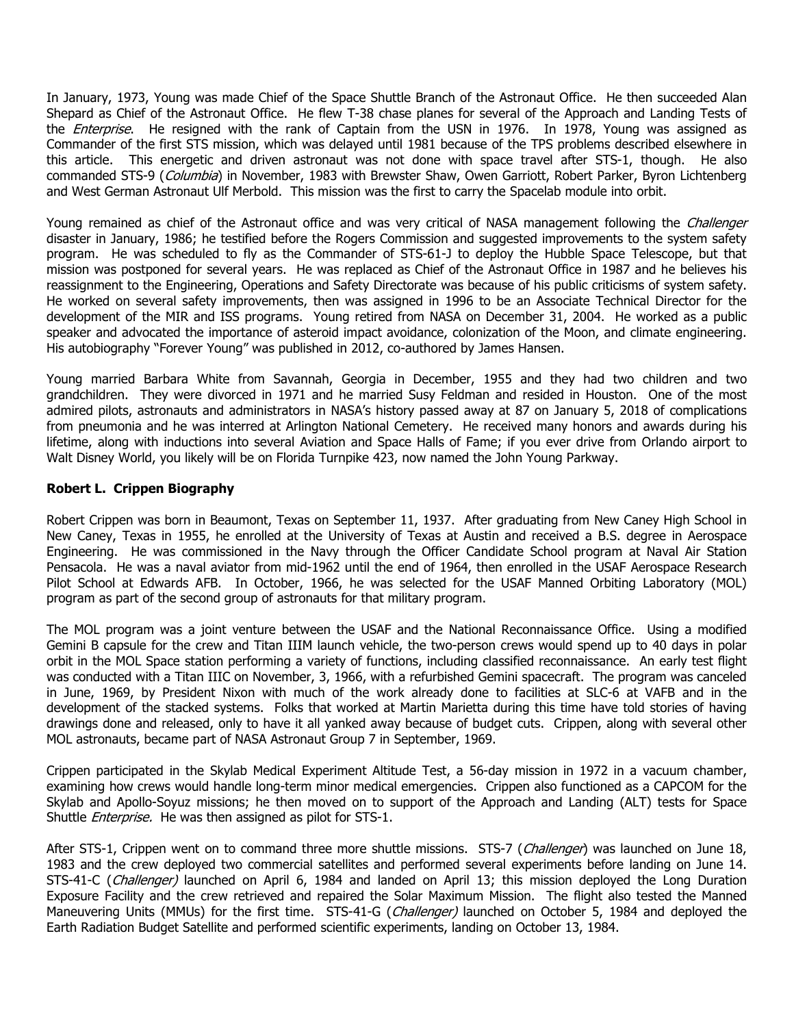In January, 1973, Young was made Chief of the Space Shuttle Branch of the Astronaut Office. He then succeeded Alan Shepard as Chief of the Astronaut Office. He flew T-38 chase planes for several of the Approach and Landing Tests of the *Enterprise*. He resigned with the rank of Captain from the USN in 1976. In 1978, Young was assigned as Commander of the first STS mission, which was delayed until 1981 because of the TPS problems described elsewhere in this article. This energetic and driven astronaut was not done with space travel after STS-1, though. He also commanded STS-9 (Columbia) in November, 1983 with Brewster Shaw, Owen Garriott, Robert Parker, Byron Lichtenberg and West German Astronaut Ulf Merbold. This mission was the first to carry the Spacelab module into orbit.

Young remained as chief of the Astronaut office and was very critical of NASA management following the *Challenger* disaster in January, 1986; he testified before the Rogers Commission and suggested improvements to the system safety program. He was scheduled to fly as the Commander of STS-61-J to deploy the Hubble Space Telescope, but that mission was postponed for several years. He was replaced as Chief of the Astronaut Office in 1987 and he believes his reassignment to the Engineering, Operations and Safety Directorate was because of his public criticisms of system safety. He worked on several safety improvements, then was assigned in 1996 to be an Associate Technical Director for the development of the MIR and ISS programs. Young retired from NASA on December 31, 2004. He worked as a public speaker and advocated the importance of asteroid impact avoidance, colonization of the Moon, and climate engineering. His autobiography "Forever Young" was published in 2012, co-authored by James Hansen.

Young married Barbara White from Savannah, Georgia in December, 1955 and they had two children and two grandchildren. They were divorced in 1971 and he married Susy Feldman and resided in Houston. One of the most admired pilots, astronauts and administrators in NASA's history passed away at 87 on January 5, 2018 of complications from pneumonia and he was interred at Arlington National Cemetery. He received many honors and awards during his lifetime, along with inductions into several Aviation and Space Halls of Fame; if you ever drive from Orlando airport to Walt Disney World, you likely will be on Florida Turnpike 423, now named the John Young Parkway.

#### **Robert L. Crippen Biography**

Robert Crippen was born in Beaumont, Texas on September 11, 1937. After graduating from New Caney High School in New Caney, Texas in 1955, he enrolled at the University of Texas at Austin and received a B.S. degree in Aerospace Engineering. He was commissioned in the Navy through the Officer Candidate School program at Naval Air Station Pensacola. He was a naval aviator from mid-1962 until the end of 1964, then enrolled in the USAF Aerospace Research Pilot School at Edwards AFB. In October, 1966, he was selected for the USAF Manned Orbiting Laboratory (MOL) program as part of the second group of astronauts for that military program.

The MOL program was a joint venture between the USAF and the National Reconnaissance Office. Using a modified Gemini B capsule for the crew and Titan IIIM launch vehicle, the two-person crews would spend up to 40 days in polar orbit in the MOL Space station performing a variety of functions, including classified reconnaissance. An early test flight was conducted with a Titan IIIC on November, 3, 1966, with a refurbished Gemini spacecraft. The program was canceled in June, 1969, by President Nixon with much of the work already done to facilities at SLC-6 at VAFB and in the development of the stacked systems. Folks that worked at Martin Marietta during this time have told stories of having drawings done and released, only to have it all yanked away because of budget cuts. Crippen, along with several other MOL astronauts, became part of NASA Astronaut Group 7 in September, 1969.

Crippen participated in the Skylab Medical Experiment Altitude Test, a 56-day mission in 1972 in a vacuum chamber, examining how crews would handle long-term minor medical emergencies. Crippen also functioned as a CAPCOM for the Skylab and Apollo-Soyuz missions; he then moved on to support of the Approach and Landing (ALT) tests for Space Shuttle *Enterprise*. He was then assigned as pilot for STS-1.

After STS-1, Crippen went on to command three more shuttle missions. STS-7 (Challenger) was launched on June 18, 1983 and the crew deployed two commercial satellites and performed several experiments before landing on June 14. STS-41-C (Challenger) launched on April 6, 1984 and landed on April 13; this mission deployed the Long Duration Exposure Facility and the crew retrieved and repaired the Solar Maximum Mission. The flight also tested the Manned Maneuvering Units (MMUs) for the first time. STS-41-G (Challenger) launched on October 5, 1984 and deployed the Earth Radiation Budget Satellite and performed scientific experiments, landing on October 13, 1984.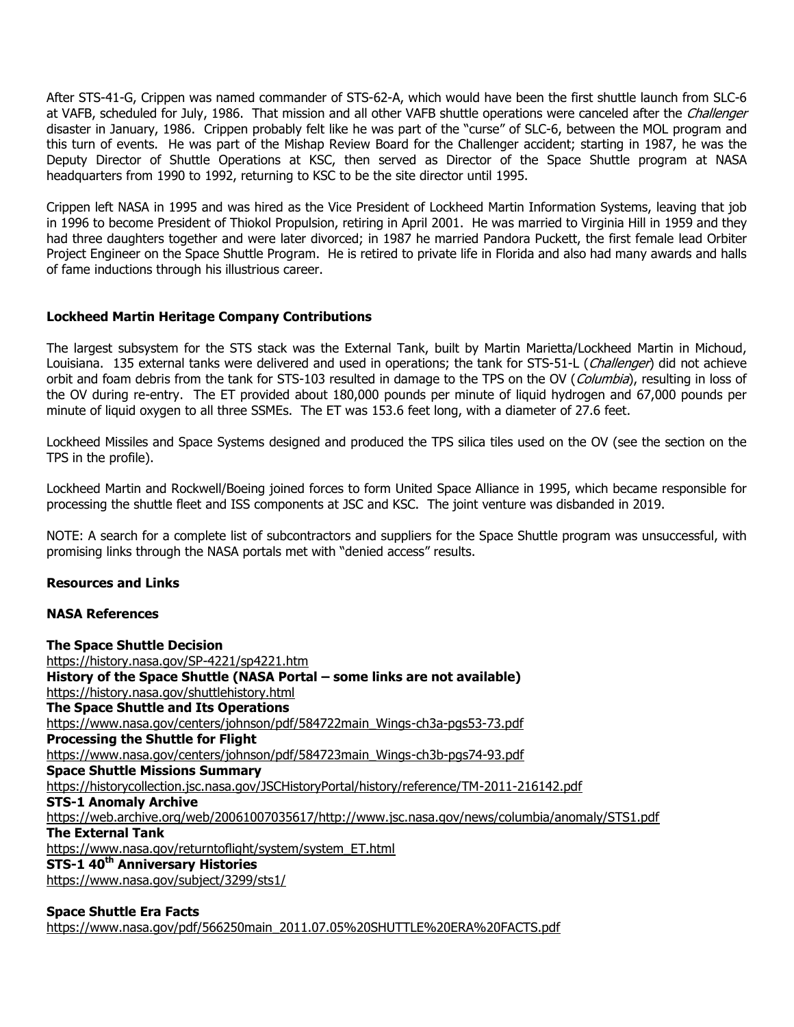After STS-41-G, Crippen was named commander of STS-62-A, which would have been the first shuttle launch from SLC-6 at VAFB, scheduled for July, 1986. That mission and all other VAFB shuttle operations were canceled after the Challenger disaster in January, 1986. Crippen probably felt like he was part of the "curse" of SLC-6, between the MOL program and this turn of events. He was part of the Mishap Review Board for the Challenger accident; starting in 1987, he was the Deputy Director of Shuttle Operations at KSC, then served as Director of the Space Shuttle program at NASA headquarters from 1990 to 1992, returning to KSC to be the site director until 1995.

Crippen left NASA in 1995 and was hired as the Vice President of Lockheed Martin Information Systems, leaving that job in 1996 to become President of Thiokol Propulsion, retiring in April 2001. He was married to Virginia Hill in 1959 and they had three daughters together and were later divorced; in 1987 he married Pandora Puckett, the first female lead Orbiter Project Engineer on the Space Shuttle Program. He is retired to private life in Florida and also had many awards and halls of fame inductions through his illustrious career.

#### **Lockheed Martin Heritage Company Contributions**

The largest subsystem for the STS stack was the External Tank, built by Martin Marietta/Lockheed Martin in Michoud, Louisiana. 135 external tanks were delivered and used in operations; the tank for STS-51-L (Challenger) did not achieve orbit and foam debris from the tank for STS-103 resulted in damage to the TPS on the OV (Columbia), resulting in loss of the OV during re-entry. The ET provided about 180,000 pounds per minute of liquid hydrogen and 67,000 pounds per minute of liquid oxygen to all three SSMEs. The ET was 153.6 feet long, with a diameter of 27.6 feet.

Lockheed Missiles and Space Systems designed and produced the TPS silica tiles used on the OV (see the section on the TPS in the profile).

Lockheed Martin and Rockwell/Boeing joined forces to form United Space Alliance in 1995, which became responsible for processing the shuttle fleet and ISS components at JSC and KSC. The joint venture was disbanded in 2019.

NOTE: A search for a complete list of subcontractors and suppliers for the Space Shuttle program was unsuccessful, with promising links through the NASA portals met with "denied access" results.

#### **Resources and Links**

#### **NASA References**

**The Space Shuttle Decision** <https://history.nasa.gov/SP-4221/sp4221.htm> **History of the Space Shuttle (NASA Portal – some links are not available)** <https://history.nasa.gov/shuttlehistory.html> **The Space Shuttle and Its Operations** [https://www.nasa.gov/centers/johnson/pdf/584722main\\_Wings-ch3a-pgs53-73.pdf](https://www.nasa.gov/centers/johnson/pdf/584722main_Wings-ch3a-pgs53-73.pdf) **Processing the Shuttle for Flight** [https://www.nasa.gov/centers/johnson/pdf/584723main\\_Wings-ch3b-pgs74-93.pdf](https://www.nasa.gov/centers/johnson/pdf/584723main_Wings-ch3b-pgs74-93.pdf) **Space Shuttle Missions Summary** <https://historycollection.jsc.nasa.gov/JSCHistoryPortal/history/reference/TM-2011-216142.pdf> **STS-1 Anomaly Archive** [https://web.archive.org/web/20061007035617/http://www.jsc.nasa.gov/news/columbia/anomaly/STS1.pdf](https://web.archive.org/web/20061007035617/http:/www.jsc.nasa.gov/news/columbia/anomaly/STS1.pdf) **The External Tank** [https://www.nasa.gov/returntoflight/system/system\\_ET.html](https://www.nasa.gov/returntoflight/system/system_ET.html) **STS-1 40th Anniversary Histories** <https://www.nasa.gov/subject/3299/sts1/>

#### **Space Shuttle Era Facts** [https://www.nasa.gov/pdf/566250main\\_2011.07.05%20SHUTTLE%20ERA%20FACTS.pdf](https://www.nasa.gov/pdf/566250main_2011.07.05%20SHUTTLE%20ERA%20FACTS.pdf)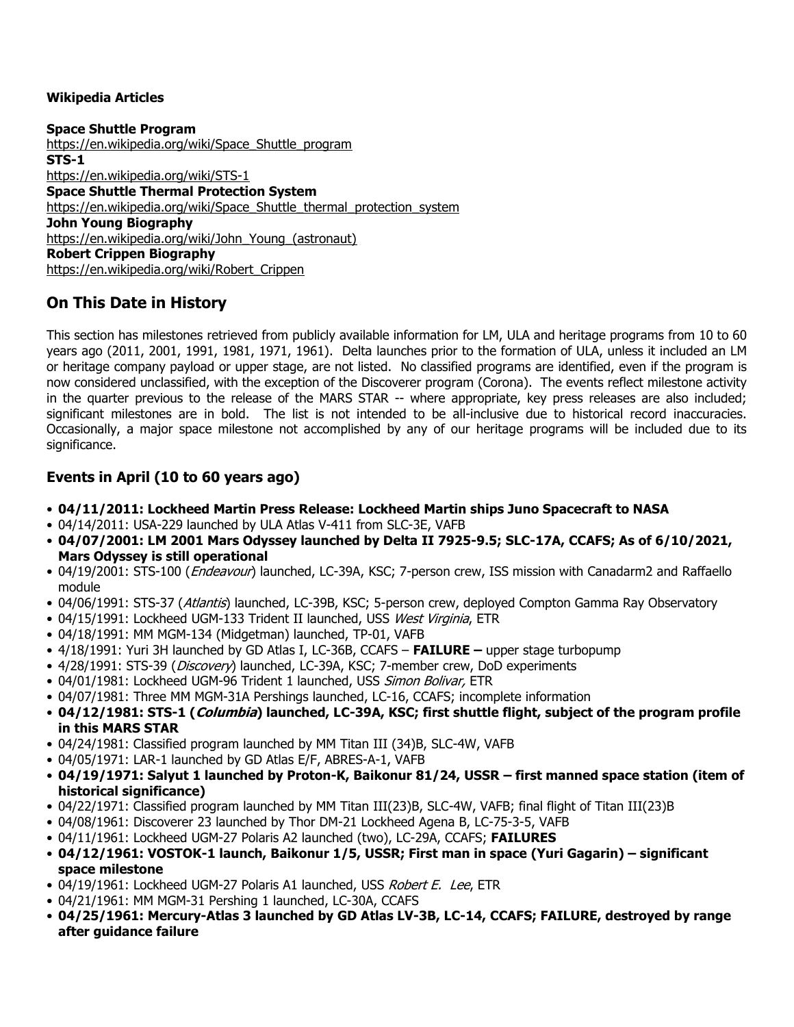### **Wikipedia Articles**

**Space Shuttle Program** [https://en.wikipedia.org/wiki/Space\\_Shuttle\\_program](https://en.wikipedia.org/wiki/Space_Shuttle_program) **STS-1** <https://en.wikipedia.org/wiki/STS-1> **Space Shuttle Thermal Protection System** [https://en.wikipedia.org/wiki/Space\\_Shuttle\\_thermal\\_protection\\_system](https://en.wikipedia.org/wiki/Space_Shuttle_thermal_protection_system) **John Young Biography** [https://en.wikipedia.org/wiki/John\\_Young\\_\(astronaut\)](https://en.wikipedia.org/wiki/John_Young_(astronaut)) **Robert Crippen Biography** [https://en.wikipedia.org/wiki/Robert\\_Crippen](https://en.wikipedia.org/wiki/Robert_Crippen)

# **On This Date in History**

This section has milestones retrieved from publicly available information for LM, ULA and heritage programs from 10 to 60 years ago (2011, 2001, 1991, 1981, 1971, 1961). Delta launches prior to the formation of ULA, unless it included an LM or heritage company payload or upper stage, are not listed. No classified programs are identified, even if the program is now considered unclassified, with the exception of the Discoverer program (Corona). The events reflect milestone activity in the quarter previous to the release of the MARS STAR -- where appropriate, key press releases are also included; significant milestones are in bold. The list is not intended to be all-inclusive due to historical record inaccuracies. Occasionally, a major space milestone not accomplished by any of our heritage programs will be included due to its significance.

## **Events in April (10 to 60 years ago)**

- **04/11/2011: Lockheed Martin Press Release: Lockheed Martin ships Juno Spacecraft to NASA**
- 04/14/2011: USA-229 launched by ULA Atlas V-411 from SLC-3E, VAFB
- **04/07/2001: LM 2001 Mars Odyssey launched by Delta II 7925-9.5; SLC-17A, CCAFS; As of 6/10/2021, Mars Odyssey is still operational**
- 04/19/2001: STS-100 (*Endeavour*) launched, LC-39A, KSC; 7-person crew, ISS mission with Canadarm2 and Raffaello module
- 04/06/1991: STS-37 (Atlantis) launched, LC-39B, KSC; 5-person crew, deployed Compton Gamma Ray Observatory
- 04/15/1991: Lockheed UGM-133 Trident II launched, USS West Virginia, ETR
- 04/18/1991: MM MGM-134 (Midgetman) launched, TP-01, VAFB
- 4/18/1991: Yuri 3H launched by GD Atlas I, LC-36B, CCAFS **FAILURE –** upper stage turbopump
- 4/28/1991: STS-39 (Discovery) launched, LC-39A, KSC; 7-member crew, DoD experiments
- 04/01/1981: Lockheed UGM-96 Trident 1 launched, USS Simon Bolivar, ETR
- 04/07/1981: Three MM MGM-31A Pershings launched, LC-16, CCAFS; incomplete information
- **04/12/1981: STS-1 (Columbia) launched, LC-39A, KSC; first shuttle flight, subject of the program profile in this MARS STAR**
- 04/24/1981: Classified program launched by MM Titan III (34)B, SLC-4W, VAFB
- 04/05/1971: LAR-1 launched by GD Atlas E/F, ABRES-A-1, VAFB
- **04/19/1971: Salyut 1 launched by Proton-K, Baikonur 81/24, USSR – first manned space station (item of historical significance)**
- 04/22/1971: Classified program launched by MM Titan III(23)B, SLC-4W, VAFB; final flight of Titan III(23)B
- 04/08/1961: Discoverer 23 launched by Thor DM-21 Lockheed Agena B, LC-75-3-5, VAFB
- 04/11/1961: Lockheed UGM-27 Polaris A2 launched (two), LC-29A, CCAFS; **FAILURES**
- **04/12/1961: VOSTOK-1 launch, Baikonur 1/5, USSR; First man in space (Yuri Gagarin) – significant space milestone**
- 04/19/1961: Lockheed UGM-27 Polaris A1 launched, USS Robert E. Lee, ETR
- 04/21/1961: MM MGM-31 Pershing 1 launched, LC-30A, CCAFS
- **04/25/1961: Mercury-Atlas 3 launched by GD Atlas LV-3B, LC-14, CCAFS; FAILURE, destroyed by range after guidance failure**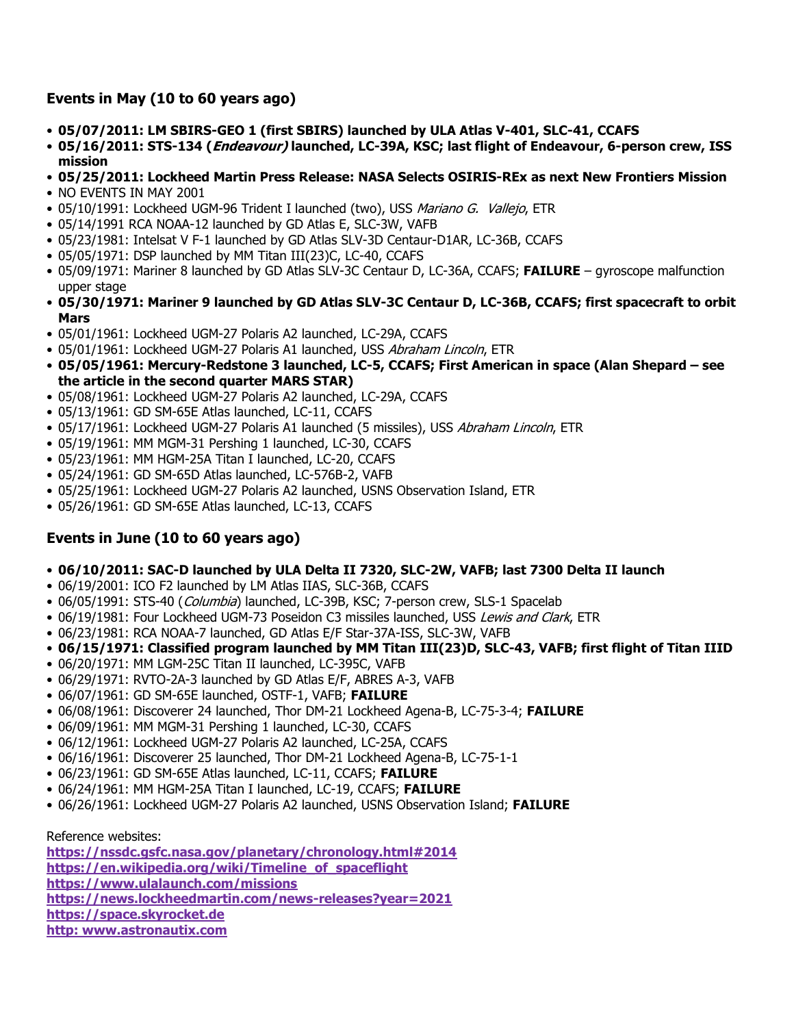## **Events in May (10 to 60 years ago)**

- **05/07/2011: LM SBIRS-GEO 1 (first SBIRS) launched by ULA Atlas V-401, SLC-41, CCAFS**
- **05/16/2011: STS-134 (Endeavour) launched, LC-39A, KSC; last flight of Endeavour, 6-person crew, ISS mission**
- **05/25/2011: Lockheed Martin Press Release: NASA Selects OSIRIS-REx as next New Frontiers Mission**
- NO EVENTS IN MAY 2001
- 05/10/1991: Lockheed UGM-96 Trident I launched (two), USS Mariano G. Vallejo, ETR
- 05/14/1991 RCA NOAA-12 launched by GD Atlas E, SLC-3W, VAFB
- 05/23/1981: Intelsat V F-1 launched by GD Atlas SLV-3D Centaur-D1AR, LC-36B, CCAFS
- 05/05/1971: DSP launched by MM Titan III(23)C, LC-40, CCAFS
- 05/09/1971: Mariner 8 launched by GD Atlas SLV-3C Centaur D, LC-36A, CCAFS; **FAILURE** gyroscope malfunction upper stage
- **05/30/1971: Mariner 9 launched by GD Atlas SLV-3C Centaur D, LC-36B, CCAFS; first spacecraft to orbit Mars**
- 05/01/1961: Lockheed UGM-27 Polaris A2 launched, LC-29A, CCAFS
- 05/01/1961: Lockheed UGM-27 Polaris A1 launched, USS Abraham Lincoln, ETR
- **05/05/1961: Mercury-Redstone 3 launched, LC-5, CCAFS; First American in space (Alan Shepard – see the article in the second quarter MARS STAR)**
- 05/08/1961: Lockheed UGM-27 Polaris A2 launched, LC-29A, CCAFS
- 05/13/1961: GD SM-65E Atlas launched, LC-11, CCAFS
- 05/17/1961: Lockheed UGM-27 Polaris A1 launched (5 missiles), USS Abraham Lincoln, ETR
- 05/19/1961: MM MGM-31 Pershing 1 launched, LC-30, CCAFS
- 05/23/1961: MM HGM-25A Titan I launched, LC-20, CCAFS
- 05/24/1961: GD SM-65D Atlas launched, LC-576B-2, VAFB
- 05/25/1961: Lockheed UGM-27 Polaris A2 launched, USNS Observation Island, ETR
- 05/26/1961: GD SM-65E Atlas launched, LC-13, CCAFS

## **Events in June (10 to 60 years ago)**

- **06/10/2011: SAC-D launched by ULA Delta II 7320, SLC-2W, VAFB; last 7300 Delta II launch**
- 06/19/2001: ICO F2 launched by LM Atlas IIAS, SLC-36B, CCAFS
- 06/05/1991: STS-40 (Columbia) launched, LC-39B, KSC; 7-person crew, SLS-1 Spacelab
- 06/19/1981: Four Lockheed UGM-73 Poseidon C3 missiles launched, USS Lewis and Clark, ETR
- 06/23/1981: RCA NOAA-7 launched, GD Atlas E/F Star-37A-ISS, SLC-3W, VAFB
- **06/15/1971: Classified program launched by MM Titan III(23)D, SLC-43, VAFB; first flight of Titan IIID**
- 06/20/1971: MM LGM-25C Titan II launched, LC-395C, VAFB
- 06/29/1971: RVTO-2A-3 launched by GD Atlas E/F, ABRES A-3, VAFB
- 06/07/1961: GD SM-65E launched, OSTF-1, VAFB; **FAILURE**
- 06/08/1961: Discoverer 24 launched, Thor DM-21 Lockheed Agena-B, LC-75-3-4; **FAILURE**
- 06/09/1961: MM MGM-31 Pershing 1 launched, LC-30, CCAFS
- 06/12/1961: Lockheed UGM-27 Polaris A2 launched, LC-25A, CCAFS
- 06/16/1961: Discoverer 25 launched, Thor DM-21 Lockheed Agena-B, LC-75-1-1
- 06/23/1961: GD SM-65E Atlas launched, LC-11, CCAFS; **FAILURE**
- 06/24/1961: MM HGM-25A Titan I launched, LC-19, CCAFS; **FAILURE**
- 06/26/1961: Lockheed UGM-27 Polaris A2 launched, USNS Observation Island; **FAILURE**

Reference websites:

**<https://nssdc.gsfc.nasa.gov/planetary/chronology.html#2014> [https://en.wikipedia.org/wiki/Timeline\\_of\\_spaceflight](https://en.wikipedia.org/wiki/Timeline_of_spaceflight) <https://www.ulalaunch.com/missions> https://news.lockheedmartin.com/news-releases?year=2021 [https://space.skyrocket.de](https://space.skyrocket.de/) http: www.astronautix.com**